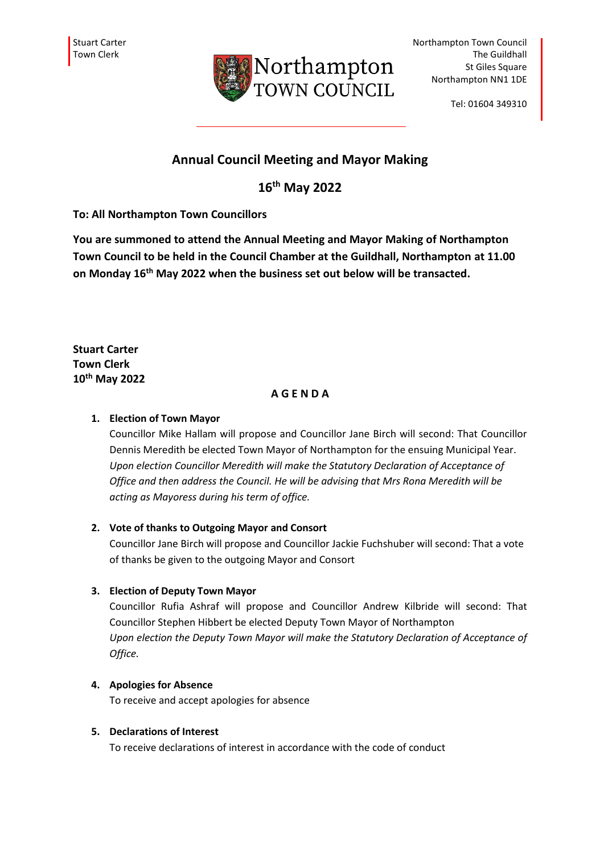

Tel: 01604 349310

# **Annual Council Meeting and Mayor Making**

**16th May 2022**

**To: All Northampton Town Councillors**

**You are summoned to attend the Annual Meeting and Mayor Making of Northampton Town Council to be held in the Council Chamber at the Guildhall, Northampton at 11.00 on Monday 16th May 2022 when the business set out below will be transacted.** 

**Stuart Carter Town Clerk 10th May 2022**

### **A G E N D A**

### **1. Election of Town Mayor**

Councillor Mike Hallam will propose and Councillor Jane Birch will second: That Councillor Dennis Meredith be elected Town Mayor of Northampton for the ensuing Municipal Year. *Upon election Councillor Meredith will make the Statutory Declaration of Acceptance of Office and then address the Council. He will be advising that Mrs Rona Meredith will be acting as Mayoress during his term of office.*

### **2. Vote of thanks to Outgoing Mayor and Consort**

Councillor Jane Birch will propose and Councillor Jackie Fuchshuber will second: That a vote of thanks be given to the outgoing Mayor and Consort

### **3. Election of Deputy Town Mayor**

Councillor Rufia Ashraf will propose and Councillor Andrew Kilbride will second: That Councillor Stephen Hibbert be elected Deputy Town Mayor of Northampton *Upon election the Deputy Town Mayor will make the Statutory Declaration of Acceptance of Office.*

### **4. Apologies for Absence**

To receive and accept apologies for absence

### **5. Declarations of Interest**

To receive declarations of interest in accordance with the code of conduct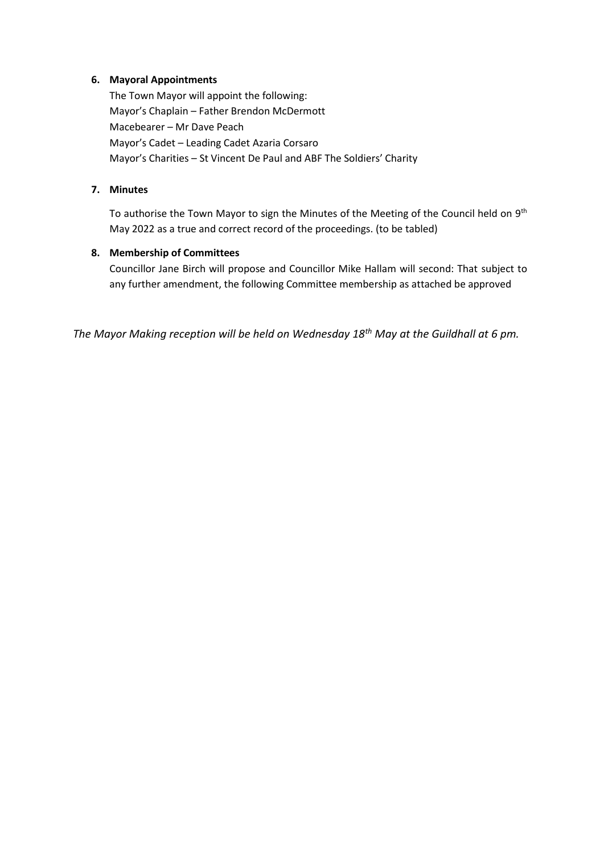#### **6. Mayoral Appointments**

The Town Mayor will appoint the following: Mayor's Chaplain – Father Brendon McDermott Macebearer – Mr Dave Peach Mayor's Cadet – Leading Cadet Azaria Corsaro Mayor's Charities – St Vincent De Paul and ABF The Soldiers' Charity

#### **7. Minutes**

To authorise the Town Mayor to sign the Minutes of the Meeting of the Council held on  $9<sup>th</sup>$ May 2022 as a true and correct record of the proceedings. (to be tabled)

### **8. Membership of Committees**

Councillor Jane Birch will propose and Councillor Mike Hallam will second: That subject to any further amendment, the following Committee membership as attached be approved

*The Mayor Making reception will be held on Wednesday 18th May at the Guildhall at 6 pm.*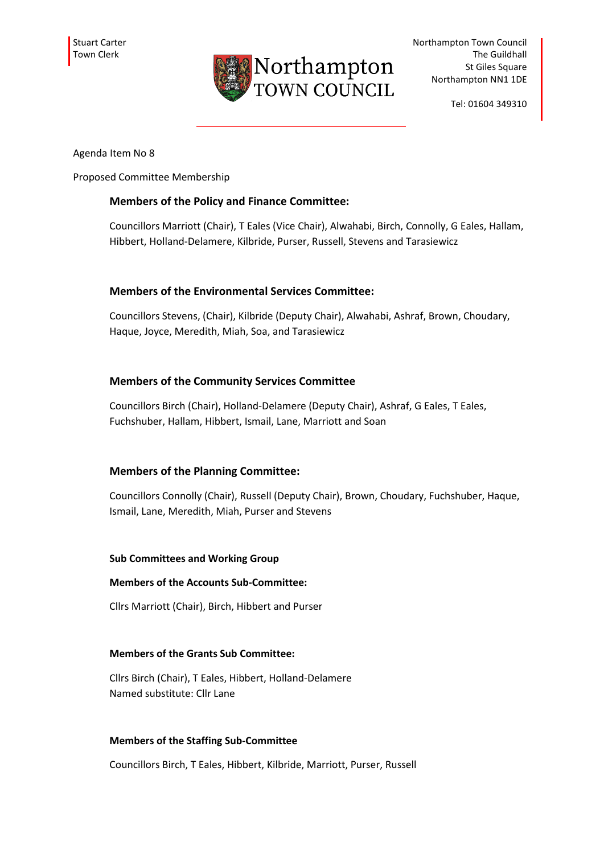

Tel: 01604 349310

Agenda Item No 8

Proposed Committee Membership

### **Members of the Policy and Finance Committee:**

Councillors Marriott (Chair), T Eales (Vice Chair), Alwahabi, Birch, Connolly, G Eales, Hallam, Hibbert, Holland-Delamere, Kilbride, Purser, Russell, Stevens and Tarasiewicz

### **Members of the Environmental Services Committee:**

Councillors Stevens, (Chair), Kilbride (Deputy Chair), Alwahabi, Ashraf, Brown, Choudary, Haque, Joyce, Meredith, Miah, Soa, and Tarasiewicz

### **Members of the Community Services Committee**

Councillors Birch (Chair), Holland-Delamere (Deputy Chair), Ashraf, G Eales, T Eales, Fuchshuber, Hallam, Hibbert, Ismail, Lane, Marriott and Soan

### **Members of the Planning Committee:**

Councillors Connolly (Chair), Russell (Deputy Chair), Brown, Choudary, Fuchshuber, Haque, Ismail, Lane, Meredith, Miah, Purser and Stevens

### **Sub Committees and Working Group**

#### **Members of the Accounts Sub-Committee:**

Cllrs Marriott (Chair), Birch, Hibbert and Purser

### **Members of the Grants Sub Committee:**

Cllrs Birch (Chair), T Eales, Hibbert, Holland-Delamere Named substitute: Cllr Lane

### **Members of the Staffing Sub-Committee**

Councillors Birch, T Eales, Hibbert, Kilbride, Marriott, Purser, Russell